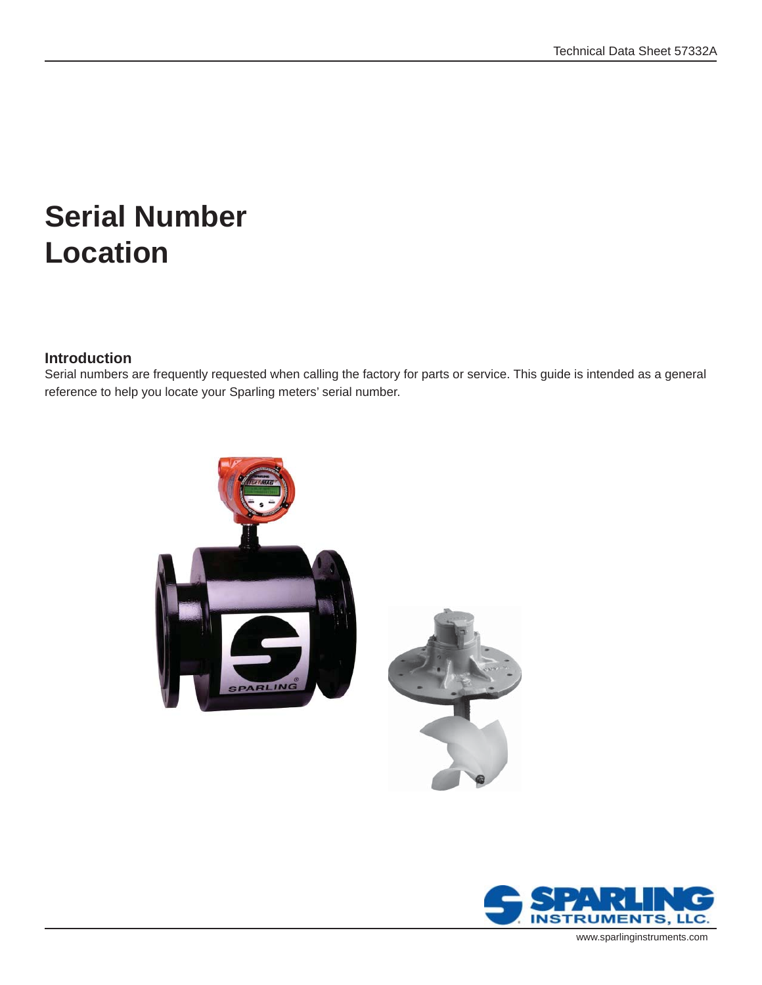# **Serial Number Location**

#### **Introduction**

Serial numbers are frequently requested when calling the factory for parts or service. This guide is intended as a general reference to help you locate your Sparling meters' serial number.



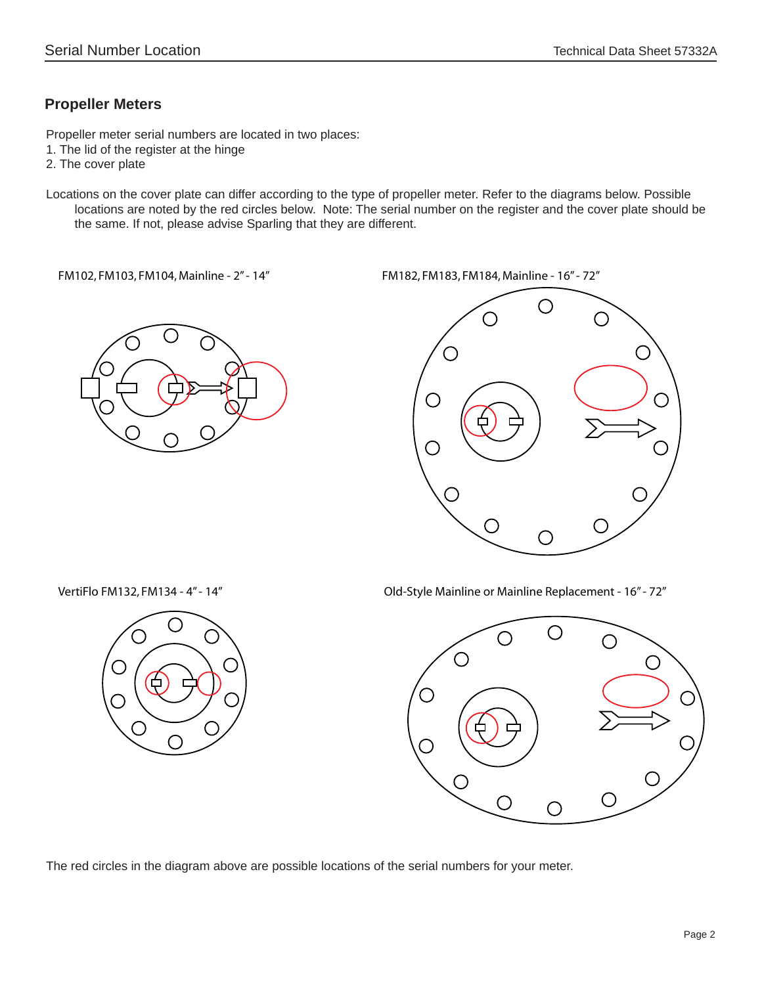## **Propeller Meters**

Propeller meter serial numbers are located in two places:

- 1. The lid of the register at the hinge
- 2. The cover plate
- Locations on the cover plate can differ according to the type of propeller meter. Refer to the diagrams below. Possible locations are noted by the red circles below. Note: The serial number on the register and the cover plate should be the same. If not, please advise Sparling that they are different.

FM102, FM103, FM104, Mainline - 2" - 14" FM182, FM183, FM184, Mainline - 16" - 72"





VertiFlo FM132, FM134 - 4" - 14" Old-Style Mainline or Mainline Replacement - 16" - 72"



The red circles in the diagram above are possible locations of the serial numbers for your meter.